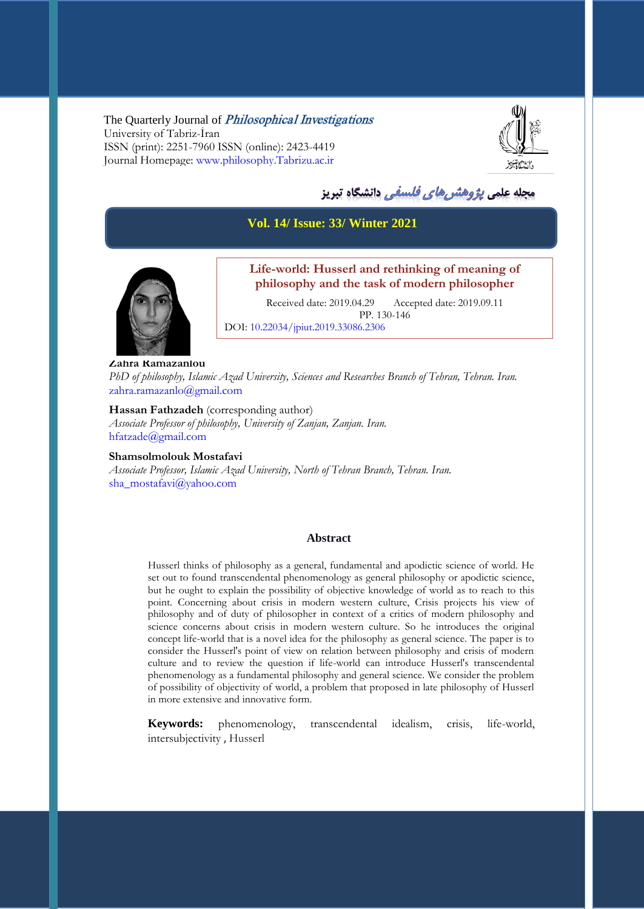The Quarterly Journal of *Philosophical Investigations* University of Tabriz-İran ISSN (print): 2251-7960 ISSN (online): 2423-4419 Journal Homepage: [www.philosophy.Tabrizu.ac.ir](http://www.philosophy.tabrizu.ac.ir/)



# مجله علمي *پژوهشرهاي فلسفي* دانشگاه تبريز

#### **Vol. 14/ Issue: 33/ Winter 2021**



# **Life-world: Husserl and rethinking of meaning of philosophy and the task of modern philosopher**

Received date: 2019.04.29 Accepted date: 2019.09.11 PP. 130-146 DOI: 10.22034/jpiut.2019.33086.2306

**Zahra Ramazanlou** *PhD of philosophy, Islamic Azad University, Sciences and Researches Branch of Tehran, Tehran. Iran.*  [zahra.ramazanlo@gmail.com](mailto:zahra.ramazanlo@gmail.com)

**Hassan Fathzadeh** (corresponding author) *Associate Professor of philosophy, University of Zanjan, Zanjan. Iran.* [hfatzade@gmail.com](mailto:hfatzade@gmail.com)

**Shamsolmolouk Mostafavi** *Associate Professor, Islamic Azad University, North of Tehran Branch, Tehran. Iran.* [sha\\_mostafavi@yahoo.com](mailto:sha_mostafavi@yahoo.com)

#### **Abstract**

Husserl thinks of philosophy as a general, fundamental and apodictic science of world. He set out to found transcendental phenomenology as general philosophy or apodictic science, but he ought to explain the possibility of objective knowledge of world as to reach to this point. Concerning about crisis in modern western culture, Crisis projects his view of philosophy and of duty of philosopher in context of a critics of modern philosophy and science concerns about crisis in modern western culture. So he introduces the original concept life-world that is a novel idea for the philosophy as general science. The paper is to consider the Husserl's point of view on relation between philosophy and crisis of modern culture and to review the question if life-world can introduce Husserl's transcendental phenomenology as a fundamental philosophy and general science. We consider the problem of possibility of objectivity of world, a problem that proposed in late philosophy of Husserl in more extensive and innovative form.

**Keywords:** phenomenology, transcendental idealism, crisis, life-world, intersubjectivity , Husserl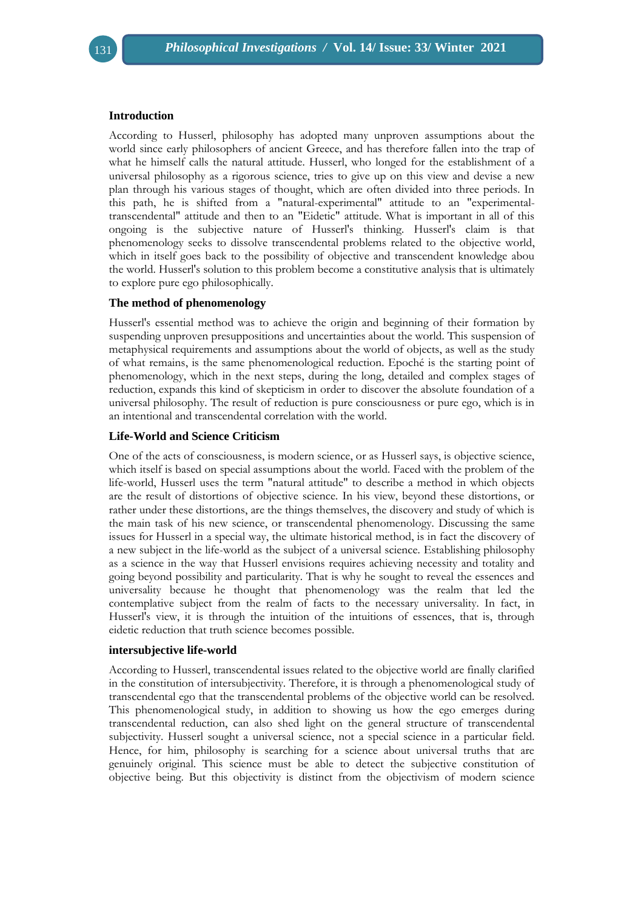#### **Introduction**

According to Husserl, philosophy has adopted many unproven assumptions about the world since early philosophers of ancient Greece, and has therefore fallen into the trap of what he himself calls the natural attitude. Husserl, who longed for the establishment of a universal philosophy as a rigorous science, tries to give up on this view and devise a new plan through his various stages of thought, which are often divided into three periods. In this path, he is shifted from a "natural-experimental" attitude to an "experimentaltranscendental" attitude and then to an "Eidetic" attitude. What is important in all of this ongoing is the subjective nature of Husserl's thinking. Husserl's claim is that phenomenology seeks to dissolve transcendental problems related to the objective world, which in itself goes back to the possibility of objective and transcendent knowledge abou the world. Husserl's solution to this problem become a constitutive analysis that is ultimately to explore pure ego philosophically.

#### **The method of phenomenology**

Husserl's essential method was to achieve the origin and beginning of their formation by suspending unproven presuppositions and uncertainties about the world. This suspension of metaphysical requirements and assumptions about the world of objects, as well as the study of what remains, is the same phenomenological reduction. Epoché is the starting point of phenomenology, which in the next steps, during the long, detailed and complex stages of reduction, expands this kind of skepticism in order to discover the absolute foundation of a universal philosophy. The result of reduction is pure consciousness or pure ego, which is in an intentional and transcendental correlation with the world.

#### **Life-World and Science Criticism**

One of the acts of consciousness, is modern science, or as Husserl says, is objective science, which itself is based on special assumptions about the world. Faced with the problem of the life-world, Husserl uses the term "natural attitude" to describe a method in which objects are the result of distortions of objective science. In his view, beyond these distortions, or rather under these distortions, are the things themselves, the discovery and study of which is the main task of his new science, or transcendental phenomenology. Discussing the same issues for Husserl in a special way, the ultimate historical method, is in fact the discovery of a new subject in the life-world as the subject of a universal science. Establishing philosophy as a science in the way that Husserl envisions requires achieving necessity and totality and going beyond possibility and particularity. That is why he sought to reveal the essences and universality because he thought that phenomenology was the realm that led the contemplative subject from the realm of facts to the necessary universality. In fact, in Husserl's view, it is through the intuition of the intuitions of essences, that is, through eidetic reduction that truth science becomes possible.

#### **intersubjective life-world**

According to Husserl, transcendental issues related to the objective world are finally clarified in the constitution of intersubjectivity. Therefore, it is through a phenomenological study of transcendental ego that the transcendental problems of the objective world can be resolved. This phenomenological study, in addition to showing us how the ego emerges during transcendental reduction, can also shed light on the general structure of transcendental subjectivity. Husserl sought a universal science, not a special science in a particular field. Hence, for him, philosophy is searching for a science about universal truths that are genuinely original. This science must be able to detect the subjective constitution of objective being. But this objectivity is distinct from the objectivism of modern science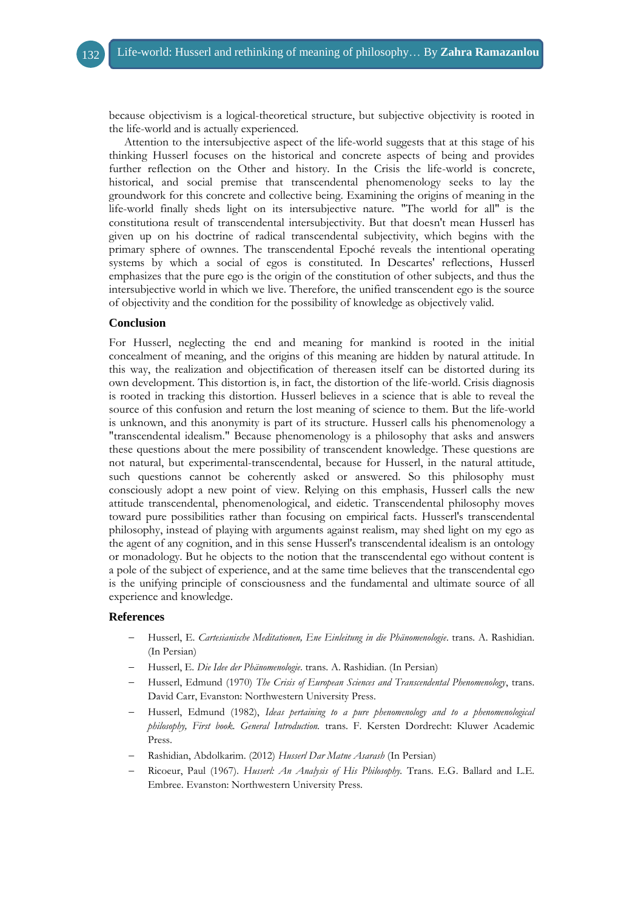because objectivism is a logical-theoretical structure, but subjective objectivity is rooted in the life-world and is actually experienced.

Attention to the intersubjective aspect of the life-world suggests that at this stage of his thinking Husserl focuses on the historical and concrete aspects of being and provides further reflection on the Other and history. In the Crisis the life-world is concrete, historical, and social premise that transcendental phenomenology seeks to lay the groundwork for this concrete and collective being. Examining the origins of meaning in the life-world finally sheds light on its intersubjective nature. "The world for all" is the constitutiona result of transcendental intersubjectivity. But that doesn't mean Husserl has given up on his doctrine of radical transcendental subjectivity, which begins with the primary sphere of ownnes. The transcendental Epoché reveals the intentional operating systems by which a social of egos is constituted. In Descartes' reflections, Husserl emphasizes that the pure ego is the origin of the constitution of other subjects, and thus the intersubjective world in which we live. Therefore, the unified transcendent ego is the source of objectivity and the condition for the possibility of knowledge as objectively valid.

#### **Conclusion**

For Husserl, neglecting the end and meaning for mankind is rooted in the initial concealment of meaning, and the origins of this meaning are hidden by natural attitude. In this way, the realization and objectification of thereasen itself can be distorted during its own development. This distortion is, in fact, the distortion of the life-world. Crisis diagnosis is rooted in tracking this distortion. Husserl believes in a science that is able to reveal the source of this confusion and return the lost meaning of science to them. But the life-world is unknown, and this anonymity is part of its structure. Husserl calls his phenomenology a "transcendental idealism." Because phenomenology is a philosophy that asks and answers these questions about the mere possibility of transcendent knowledge. These questions are not natural, but experimental-transcendental, because for Husserl, in the natural attitude, such questions cannot be coherently asked or answered. So this philosophy must consciously adopt a new point of view. Relying on this emphasis, Husserl calls the new attitude transcendental, phenomenological, and eidetic. Transcendental philosophy moves toward pure possibilities rather than focusing on empirical facts. Husserl's transcendental philosophy, instead of playing with arguments against realism, may shed light on my ego as the agent of any cognition, and in this sense Husserl's transcendental idealism is an ontology or monadology. But he objects to the notion that the transcendental ego without content is a pole of the subject of experience, and at the same time believes that the transcendental ego is the unifying principle of consciousness and the fundamental and ultimate source of all experience and knowledge.

#### **References**

- Husserl, E. *Cartesianische Meditationen, Ene Einleitung in die Phänomenologie*. trans. A. Rashidian. (In Persian)
- Husserl, E. *Die Idee der Phänomenologie*. trans. A. Rashidian. (In Persian)
- Husserl, Edmund (1970) *The Crisis of European Sciences and Transcendental Phenomenology*, trans. David Carr, Evanston: Northwestern University Press.
- Husserl, Edmund (1982), *Ideas pertaining to a pure phenomenology and to a phenomenological philosophy, First book. General Introduction.* trans. F. Kersten Dordrecht: Kluwer Academic Press.
- Rashidian, Abdolkarim. (2012) *Husserl Dar Matne Asarash* (In Persian)
- Ricoeur, Paul (1967). *Husserl: An Analysis of His Philosophy.* Trans. E.G. Ballard and L.E. Embree. Evanston: Northwestern University Press.

132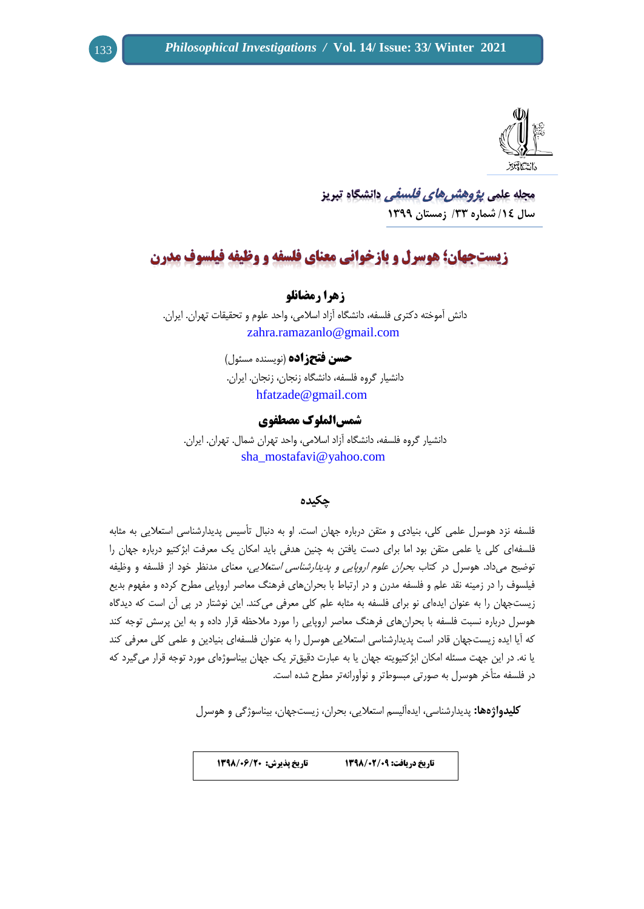

<u>مجله علمی یژوهشر ه*ای فلسفی* دانشگاه تیریز</u> **سال /41 شماره /33 زمستان 4399**

# **زیست جهان؛ هوسرل و بازخوانی معنای فلسفه و وظیفه فیلسوف مدرن**

**زهرا رمضانلو**

دانش آموخته دکتری فلسفه، دانشگاه آزاد اسالمی، واحد علوم و تحقیقات تهران. ایران. [zahra.ramazanlo@gmail.com](mailto:zahra.ramazanlo@gmail.com)

> **حسن فتحزاده** )نویسنده مسئول( دانشیار گروه فلسفه، دانشگاه زنجان، زنجان. ایران. [hfatzade@gmail.com](mailto:hfatzade@gmail.com)

> > **شمسالملوک مصطفوی**

دانشیار گروه فلسفه، دانشگاه آزاد اسالمی، واحد تهران شمال. تهران. ایران. [sha\\_mostafavi@yahoo.com](mailto:sha_mostafavi@yahoo.com) 

# **چکیده**

فلسفه نزد هوسرل علمی کلی، بنیادی و متقن درباره جهان است. او به دنبال تأسیس پدیدارشناسی استعالیی به مثابه فلسفهای کلی یا علمی متقن بود اما برای دست یافتن به چنین هدفی باید امکان یک معرفت ابژکتیو درباره جهان را توضیح میداد. هوسرل در کتاب بحران علوم اروپایی و پدیدارشناسی استعالیی، معنای مدنظر خود از فلسفه و وظیفه فیلسوف را در زمینه نقد علم و فلسفه مدرن و در ارتباط با بحرانهای فرهنگ معاصر اروپایی مطرح کرده و مفهوم بدیع زیستجهان را به عنوان ایدهای نو برای فلسفه به مثابه علم کلی معرفی میکند. این نوشتار در پی آن است که دیدگاه هوسرل درباره نسبت فلسفه با بحرانهای فرهنگ معاصر اروپایی را مورد مالحظه قرار داده و به این پرسش توجه کند که آیا ایده زیستجهان قادر است پدیدارشناسی استعالیی هوسرل را به عنوان فلسفهای بنیادین و علمی کلی معرفی کند یا نه. در این جهت مسئله امکان ابژکتیویته جهان یا به عبارت دقیقتر یک جهان بیناسوژهای مورد توجه قرار میگیرد که در فلسفه متأخر هوسرل به صورتی مبسوطتر و نوآورانهتر مطرح شده است.

**کلیدواژهها:** پدیدارشناسی، ایدهآلیسم استعالیی، بحران، زیستجهان، بیناسوژگی و هوسرل

**تاریخ دریافت: 9308/90/90 تاریخ پذیرش: 9308/90/09**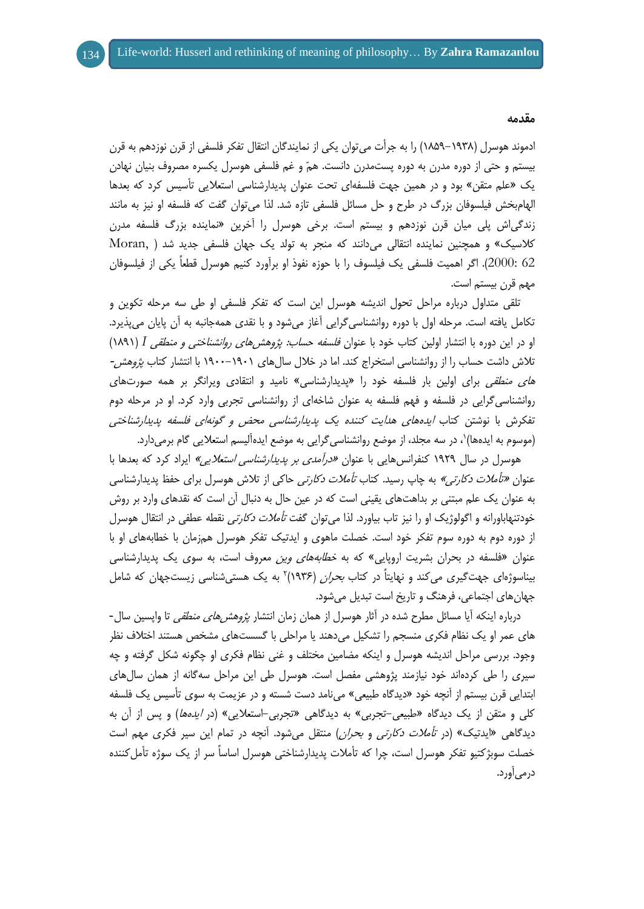ادموند هوسرل )8183-8391( را به جرأت میتوان یکی از نمایندگان انتقال تفکر فلسفی از قرن نوزدهم به قرن بیستم و حتی از دوره مدرن به دوره پستمدرن دانست. همّ و غم فلسفی هوسرل یکسره مصروف بنیان نهادن یک »علم متقن« بود و در همین جهت فلسفهای تحت عنوان پدیدارشناسی استعالیی تأسیس کرد که بعدها الهامبخش فیلسوفان بزرگ در طرح و حل مسائل فلسفی تازه شد. لذا میتوان گفت که فلسفه او نیز به مانند زندگیاش پلی میان قرن نوزدهم و بیستم است. برخی هوسرل را آخرین »نماینده بزرگ فلسفه مدرن کلاسیک» و همچنین نماینده انتقالی می دانند که منجر به تولد یک جهان فلسفی جدید شد ( Moran, 62 2000:(. اگر اهمیت فلسفی یک فیلسوف را با حوزه نفوذ او برآورد کنیم هوسرل قطعاً یکی از فیلسوفان مهم قرن بیستم است.

تلقی متداول درباره مراحل تحول اندیشه هوسرل این است که تفکر فلسفی او طی سه مرحله تکوین و تکامل یافته است. مرحله اول با دوره روانشناسیگرایی آغاز میشود و با نقدی همهجانبه به آن پایان میپذیرد. او در این دوره با انتشار اولین کتاب خود با عنوان فلسفه حساب: پژوهشهای روانشناختی و منطقی *I*( 8138 ) تلاش داشت حساب را از روانشناسی استخراج کند. اما در خلال سالهای ۱۹۰۱–۱۹۰۰ با انتشار کتاب *پژوهش-*ه*ای منطقی* برای اولین بار فلسفه خود را «پدیدارشناسی» نامید و انتقادی ویرانگر بر همه صورتهای روانشناسیگرایی در فلسفه و فهم فلسفه به عنوان شاخهای از روانشناسی تجربی وارد کرد. او در مرحله دوم تفکرش با نوشتن کتاب ایدههای هدایت کننده یک پدیدارشناسی محض و گونهای فلسفه پدیدارشناختی (موسوم به ایدهها)`، در سه مجلد، از موضع روانشناسیگرایی به موضع ایدهآلیسم استعلایی گام برمیدارد.

هوسرل در سال ۱۹۲۹ کنفرانس هایی با عنوان *«درآمدی بر پدیدارشناسی استعلایی»* ایراد کرد که بعدها با عنوان *«تأملات دکارتی»* به چاپ رسید. کتاب *تأملات دکارتی* حاکی از تلاش هوسرل برای حفظ پدیدارشناسی به عنوان یک علم مبتنی بر بداهتهای یقینی است که در عین حال به دنبال آن است که نقدهای وارد بر روش خودتنهاباورانه و اگولوژیک او را نیز تاب بیاورد. لذا می توان گفت *تأملات دکارتی* نقطه عطفی در انتقال هوسرل از دوره دوم به دوره سوم تفکر خود است. خصلت ماهوی و ایدتیک تفکر هوسرل همزمان با خطابههای او با عنوان «فلسفه در بحران بشریت اروپایی» که به *خطابههای وین* معروف است، به سوی یک پدیدارشناسی بیناسوژهای جهتگیری میکند و نهایتاً در کتاب *بحران* (۱۹۳۶)<sup>۲</sup> به یک هستیشناسی زیستجهان که شامل جهانهای اجتماعی، فرهنگ و تاریخ است تبدیل میشود.

درباره اینکه آیا مسائل مطرح شده در آثار هوسرل از همان زمان انتشار پژوهشهای منطقی تا واپسین سال- های عمر او یک نظام فکری منسجم را تشکیل میدهند یا مراحلی با گسستهای مشخص هستند اختالف نظر وجود. بررسی مراحل اندیشه هوسرل و اینکه مضامین مختلف و غنی نظام فکری او چگونه شکل گرفته و چه سیری را طی کردهاند خود نیازمند پژوهشی مفصل است. هوسرل طی این مراحل سهگانه از همان سالهای ابتدایی قرن بیستم از آنچه خود »دیدگاه طبیعی« مینامد دست شسته و در عزیمت به سوی تأسیس یک فلسفه کلی و متقن از یک دیدگاه «طبیعی-تجربی» به دیدگاهی «تجربی-استعلایی» (در *ایدهها*) و پس از آن به دیدگاهی «ایدتیک» (در ت*أملات دکارتی* و *بحران)* منتقل میشود. آنچه در تمام این سیر فکری مهم است خصلت سوبژکتیو تفکر هوسرل است، چرا که تأمالت پدیدارشناختی هوسرل اساساً سر از یک سوژه تأملکننده درمیآورد.

#### **مقدمه**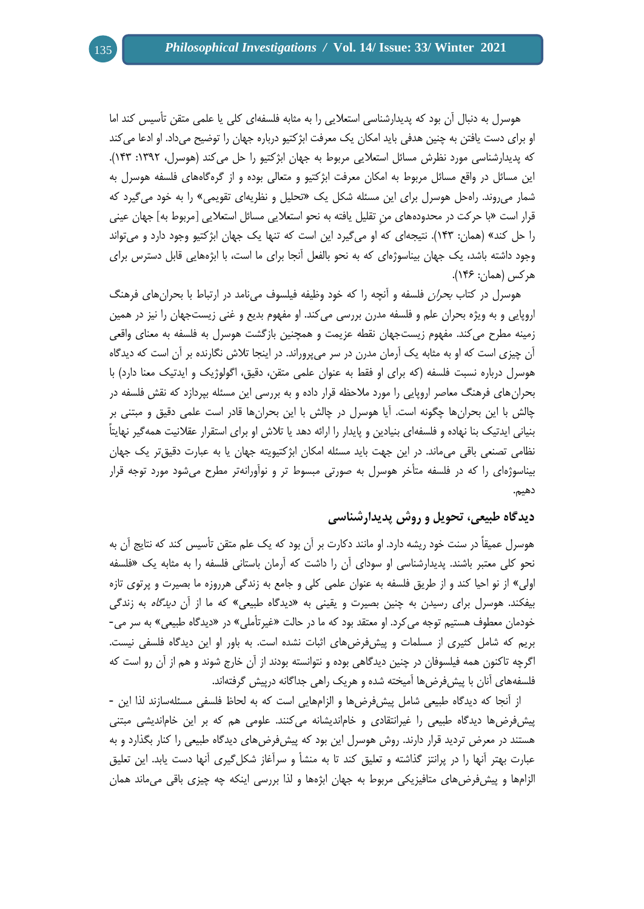هوسرل به دنبال آن بود که پدیدارشناسی استعالیی را به مثابه فلسفهای کلی یا علمی متقن تأسیس کند اما او برای دست یافتن به چنین هدفی باید امکان یک معرفت ابژکتیو درباره جهان را توضیح میداد. او ادعا میکند که پدیدارشناسی مورد نظرش مسائل استعلایی مربوط به جهان ابژکتیو را حل میکند (هوسرل، ۱۳۹۲: ۱۴۳). این مسائل در واقع مسائل مربوط به امکان معرفت ابژکتیو و متعالی بوده و از گرهگاههای فلسفه هوسرل به شمار میروند. راهحل هوسرل برای این مسئله شکل یک »تحلیل و نظریهای تقویمی« را به خود میگیرد که قرار است »با حرکت در محدودههای منِ تقلیل یافته به نحو استعالیی مسائل استعالیی ]مربوط به[ جهان عینی را حل کند« )همان: 849(. نتیجهای که او میگیرد این است که تنها یک جهان ابژکتیو وجود دارد و میتواند وجود داشته باشد، یک جهان بیناسوژهای که به نحو بالفعل آنجا برای ما است، با ابژههایی قابل دسترس برای هر کس (همان: ۱۴۶).

هوسرل در کتاب *بحران* فلسفه و آنچه را که خود وظیفه فیلسوف مینامد در ارتباط با بحرانهای فرهنگ اروپایی و به ویژه بحران علم و فلسفه مدرن بررسی میکند. او مفهوم بدیع و غنی زیستجهان را نیز در همین زمینه مطرح میکند. مفهوم زیستجهان نقطه عزیمت و همچنین بازگشت هوسرل به فلسفه به معنای واقعی آن چیزی است که او به مثابه یک آرمان مدرن در سر میپروراند. در اینجا تالش نگارنده بر آن است که دیدگاه هوسرل درباره نسبت فلسفه (که برای او فقط به عنوان علمی متقن، دقیق، اگولوژیک و ایدتیک معنا دارد) با بحرانهای فرهنگ معاصر اروپایی را مورد مالحظه قرار داده و به بررسی این مسئله بپردازد که نقش فلسفه در چالش با این بحرانها چگونه است. آیا هوسرل در چالش با این بحرانها قادر است علمی دقیق و مبتنی بر بنیانی ایدتیک بنا نهاده و فلسفهای بنیادین و پایدار را ارائه دهد یا تالش او برای استقرار عقالنیت همهگیر نهایتاً نظامی تصنعی باقی میماند. در این جهت باید مسئله امکان ابژکتیویته جهان یا به عبارت دقیقتر یک جهان بیناسوژهای را که در فلسفه متأخر هوسرل به صورتی مبسوط تر و نوآورانهتر مطرح میشود مورد توجه قرار دهیم.

# **دیدگاه طبیعی، تحویل و روش پدیدارشناسی**

هوسرل عمیقاً در سنت خود ریشه دارد. او مانند دکارت بر آن بود که یک علم متقن تأسیس کند که نتایج آن به نحو کلی معتبر باشند. پدیدارشناسی او سودای آن را داشت که آرمان باستانی فلسفه را به مثابه یک »فلسفه اولی« از نو احیا کند و از طریق فلسفه به عنوان علمی کلی و جامع به زندگی هرروزه ما بصیرت و پرتوی تازه بیفکند. هوسرل برای رسیدن به چنین بصیرت و یقینی به «دیدگاه طبیعی» که ما از آن *دیدگاه* به زندگی خودمان معطوف هستیم توجه میکرد. او معتقد بود که ما در حالت »غیرتأملی« در »دیدگاه طبیعی« به سر می- بریم که شامل کثیری از مسلمات و پیشفرضهای اثبات نشده است. به باور او این دیدگاه فلسفی نیست. اگرچه تاکنون همه فیلسوفان در چنین دیدگاهی بوده و نتوانسته بودند از آن خارج شوند و هم از آن رو است که فلسفههای آنان با پیشفرضها آمیخته شده و هریک راهی جداگانه درپیش گرفتهاند.

از آنجا که دیدگاه طبیعی شامل پیشفرضها و الزامهایی است که به لحاظ فلسفی مسئلهسازند لذا این - پیشفرضها دیدگاه طبیعی را غیرانتقادی و خاماندیشانه میکنند. علومی هم که بر این خاماندیشی مبتنی هستند در معرض تردید قرار دارند. روش هوسرل این بود که پیشفرضهای دیدگاه طبیعی را کنار بگذارد و به عبارت بهتر آنها را در پرانتز گذاشته و تعلیق کند تا به منشأ و سرآغاز شکلگیری آنها دست یابد. این تعلیق الزامها و پیشفرضهای متافیزیکی مربوط به جهان ابژهها و لذا بررسی اینکه چه چیزی باقی میماند همان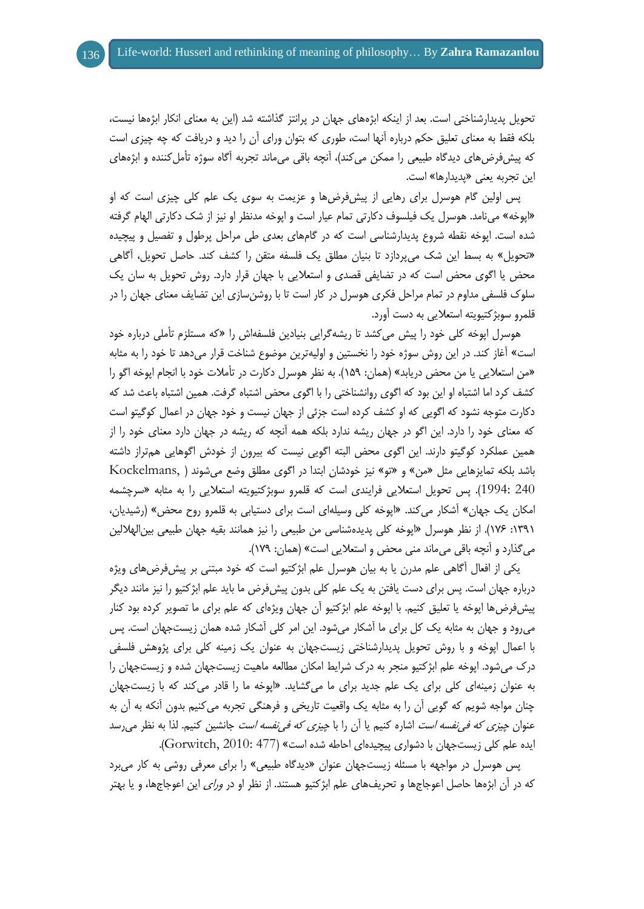تحویل پدیدارشناختی است. بعد از اینکه ابژههای جهان در پرانتز گذاشته شد )این به معنای انکار ابژهها نیست، بلکه فقط به معنای تعلیق حکم درباره آنها است، طوری که بتوان ورای آن را دید و دریافت که چه چیزی است که پیشفرضهای دیدگاه طبیعی را ممکن میکند)، آنچه باقی میماند تجربه آگاه سوژه تأملکننده و ابژههای این تجربه یعنی »پدیدارها« است.

پس اولین گام هوسرل برای رهایی از پیشفرضها و عزیمت به سوی یک علم کلی چیزی است که او »اپوخه« مینامد. هوسرل یک فیلسوف دکارتی تمام عیار است و اپوخه مدنظر او نیز از شک دکارتی الهام گرفته شده است. اپوخه نقطه شروع پدیدارشناسی است که در گامهای بعدی طی مراحل پرطول و تفصیل و پیچیده »تحویل« به بسط این شک میپردازد تا بنیان مطلق یک فلسفه متقن را کشف کند. حاصل تحویل، آگاهی محض یا اگوی محض است که در تضایفی قصدی و استعالیی با جهان قرار دارد. روش تحویل به سان یک سلوک فلسفی مداوم در تمام مراحل فکری هوسرل در کار است تا با روشنسازی این تضایف معنای جهان را در قلمرو سوبژکتیویته استعالیی به دست آورد.

هوسرل اپوخه کلی خود را پیش میکشد تا ریشهگرایی بنیادین فلسفهاش را »که مستلزم تأملی درباره خود است« آغاز کند. در این روش سوژه خود را نخستین و اولیهترین موضوع شناخت قرار میدهد تا خود را به مثابه «من استعلایی یا من محض دریابد» (همان: ۱۵۹). به نظر هوسرل دکارت در تأملات خود با انجام اپوخه اگو را کشف کرد اما اشتباه او این بود که اگوی روانشناختی را با اگوی محض اشتباه گرفت. همین اشتباه باعث شد که دکارت متوجه نشود که اگویی که او کشف کرده است جزئی از جهان نیست و خود جهان در اعمال کوگیتو است که معنای خود را دارد. این اگو در جهان ریشه ندارد بلکه همه آنچه که ریشه در جهان دارد معنای خود را از همین عملکرد کوگیتو دارند. این اگوی محض البته اگویی نیست که بیرون از خودش اگوهایی همتراز داشته باشد بلکه تمایزهایی مثل »من« و »تو« نیز خودشان ابتدا در اگوی مطلق وضع میشوند ) ,Kockelmans 240 1994:(. پس تحویل استعالیی فرایندی است که قلمرو سوبژکتیویته استعالیی را به مثابه »سرچشمه امکان یک جهان» آشکار میکند. «اپوخه کلی وسیلهای است برای دستیابی به قلمرو روح محض» (رشیدیان، :8938 871(. از نظر هوسرل »اپوخه کلی پدیدهشناسی من طبیعی را نیز همانند بقیه جهان طبیعی بینالهاللین میگذارد و آنچه باقی میماند منی محض و استعالیی است« )همان: 873(.

یکی از افعال آگاهی علم مدرن یا به بیان هوسرل علم ابژکتیو است که خود مبتنی بر پیشفرضهای ویژه درباره جهان است. پس برای دست یافتن به یک علم کلی بدون پیشفرض ما باید علم ابژکتیو را نیز مانند دیگر پیشفرضها اپوخه یا تعلیق کنیم. با اپوخه علم ابژکتیو آن جهان ویژهای که علم برای ما تصویر کرده بود کنار میرود و جهان به مثابه یک کل برای ما آشکار میشود. این امر کلی آشکار شده همان زیستجهان است. پس با اعمال اپوخه و با روش تحویل پدیدارشناختی زیستجهان به عنوان یک زمینه کلی برای پژوهش فلسفی درک میشود. اپوخه علم ابژکتیو منجر به درک شرایط امکان مطالعه ماهیت زیستجهان شده و زیستجهان را به عنوان زمینهای کلی برای یک علم جدید برای ما میگشاید. »اپوخه ما را قادر میکند که با زیستجهان چنان مواجه شویم که گویی آن را به مثابه یک واقعیت تاریخی و فرهنگی تجربه میکنیم بدون آنکه به آن به عنوان *چیزی که فی نفسه است* اشاره کنیم یا آن را با *چیزی که فی نفسه است* جانشین کنیم. لذا به نظر می رسد ایده علم کلی زیستجهان با دشواری پیچیدهای احاطه شده است« )477 2010: ,Gorwitch).

پس هوسرل در مواجهه با مسئله زیستجهان عنوان »دیدگاه طبیعی« را برای معرفی روشی به کار میبرد که در آن ابژهها حاصل اعوجاجها و تحریفهای علم ابژکتیو هستند. از نظر او در ورای این اعوجاجها، و یا بهتر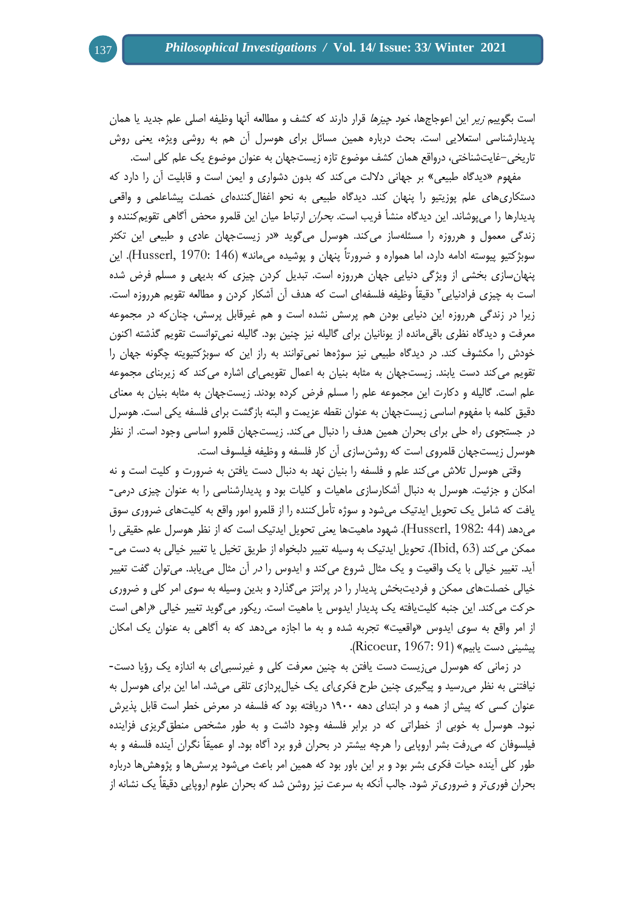است بگوییم زیر این اعوجاجها، خود چیزها قرار دارند که کشف و مطالعه آنها وظیفه اصلی علم جدید یا همان پدیدارشناسی استعالیی است. بحث درباره همین مسائل برای هوسرل آن هم به روشی ویژه، یعنی روش تاریخی-غایتشناختی، درواقع همان کشف موضوع تازه زیستجهان به عنوان موضوع یک علم کلی است.

مفهوم «دیدگاه طبیعی» بر جهانی دلالت میکند که بدون دشواری و ایمن است و قابلیت آن را دارد که دستکاریهای علم پوزیتیو را پنهان کند. دیدگاه طبیعی به نحو اغفالکنندهای خصلت پیشاعلمی و واقعی پدیدارها را میپوشاند. این دیدگاه منشأ فریب اس*ت. بحران* ارتباط میان این قلمرو محض آگاهی تقویمکننده و زندگی معمول و هرروزه را مسئلهساز میکند. هوسرل میگوید »در زیستجهان عادی و طبیعی این تکثر سوبژکتیو پیوسته ادامه دارد، اما همواره و ضرورتاً پنهان و پوشیده میماند« )146 1970: ,Husserl). این پنهانسازی بخشی از ویژگی دنیایی جهان هرروزه است. تبدیل کردن چیزی که بدیهی و مسلم فرض شده است به چیزی فرادنیایی<sup>۳</sup> دقیقاً وظیفه فلسفهای است که هدف آن آشکار کردن و مطالعه تقویم هرروزه است. زیرا در زندگی هرروزه این دنیایی بودن هم پرسش نشده است و هم غیرقابل پرسش، چنانکه در مجموعه معرفت و دیدگاه نظری باقیمانده از یونانیان برای گالیله نیز چنین بود. گالیله نمیتوانست تقویم گذشته اکنون خودش را مکشوف کند. در دیدگاه طبیعی نیز سوژهها نمیتوانند به راز این که سوبژکتیویته چگونه جهان را تقویم میکند دست یابند. زیستجهان به مثابه بنیان به اعمال تقویمیای اشاره میکند که زیربنای مجموعه علم است. گالیله و دکارت این مجموعه علم را مسلم فرض کرده بودند. زیستجهان به مثابه بنیان به معنای دقیق کلمه با مفهوم اساسی زیستجهان به عنوان نقطه عزیمت و البته بازگشت برای فلسفه یکی است. هوسرل در جستجوی راه حلی برای بحران همین هدف را دنبال میکند. زیستجهان قلمرو اساسی وجود است. از نظر هوسرل زیستجهان قلمروی است که روشنسازی آن کار فلسفه و وظیفه فیلسوف است.

وقتی هوسرل تالش میکند علم و فلسفه را بنیان نهد به دنبال دست یافتن به ضرورت و کلیت است و نه امکان و جزئیت. هوسرل به دنبال آشکارسازی ماهیات و کلیات بود و پدیدارشناسی را به عنوان چیزی درمی- یافت که شامل یک تحویل ایدتیک میشود و سوژه تأملکننده را از قلمرو امور واقع به کلیتهای ضروری سوق میدهد )44 1982: ,Husserl). شهود ماهیتها یعنی تحویل ایدتیک است که از نظر هوسرل علم حقیقی را ممکن میکند )63 ,Ibid). تحویل ایدتیک به وسیله تغییر دلبخواه از طریق تخیل یا تغییر خیالی به دست می- آید. تغییر خیالی با یک واقعیت و یک مثال شروع میکند و ایدوس را در آن مثال مییابد. میتوان گفت تغییر خیالی خصلتهای ممکن و فردیتبخش پدیدار را در پرانتز میگذارد و بدین وسیله به سوی امر کلی و ضروری حرکت میکند. این جنبه کلیتیافته یک پدیدار ایدوس یا ماهیت است. ریکور میگوید تغییر خیالی »راهی است از امر واقع به سوی ایدوس »واقعیت« تجربه شده و به ما اجازه میدهد که به آگاهی به عنوان یک امکان پیشینی دست یابیم» (Ricoeur, 1967: 91).

در زمانی که هوسرل میزیست دست یافتن به چنین معرفت کلی و غیرنسبیای به اندازه یک رؤیا دست- نیافتنی به نظر میرسید و پیگیری چنین طرح فکریای یک خیالپردازی تلقی میشد. اما این برای هوسرل به عنوان کسی که پیش از همه و در ابتدای دهه ۱۹۰۰ دریافته بود که فلسفه در معرض خطر است قابل پذیرش نبود. هوسرل به خوبی از خطراتی که در برابر فلسفه وجود داشت و به طور مشخص منطقگریزی فزاینده فیلسوفان که میرفت بشر اروپایی را هرچه بیشتر در بحران فرو برد آگاه بود. او عمیقاً نگران آینده فلسفه و به طور کلی آینده حیات فکری بشر بود و بر این باور بود که همین امر باعث میشود پرسشها و پژوهشها درباره بحران فوریتر و ضروریتر شود. جالب آنکه به سرعت نیز روشن شد که بحران علوم اروپایی دقیقاً یک نشانه از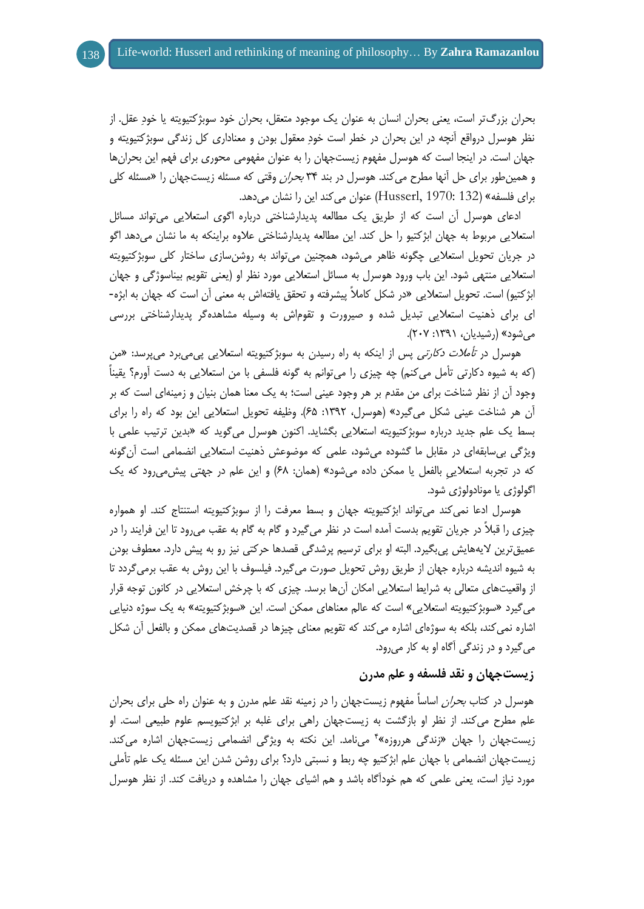بحران بزرگتر است، یعنی بحران انسان به عنوان یک موجود متعقل، بحران خود سوبژکتیویته یا خودِ عقل. از نظر هوسرل درواقع آنچه در این بحران در خطر است خودِ معقول بودن و معناداری کل زندگی سوبژکتیویته و جهان است. در اینجا است که هوسرل مفهوم زیستجهان را به عنوان مفهومی محوری برای فهم این بحرانها و همین طور برای حل آنها مطرح می کند. هوسرل در بند ۳۴ *بحران* وقتی که مسئله زیستجهان را «مسئله کلی برای فلسفه« )132 1970: ,Husserl )عنوان میکند این را نشان میدهد.

ادعای هوسرل آن است که از طریق یک مطالعه پدیدارشناختی درباره اگوی استعالیی میتواند مسائل استعالیی مربوط به جهان ابژکتیو را حل کند. این مطالعه پدیدارشناختی عالوه براینکه به ما نشان میدهد اگو در جریان تحویل استعالیی چگونه ظاهر میشود، همچنین میتواند به روشنسازی ساختار کلی سوبژکتیویته استعالیی منتهی شود. این باب ورود هوسرل به مسائل استعالیی مورد نظر او )یعنی تقویم بیناسوژگی و جهان ابژکتیو( است. تحویل استعالیی »در شکل کامالً پیشرفته و تحقق یافتهاش به معنی آن است که جهان به ابژه- ای برای ذهنیت استعالیی تبدیل شده و صیرورت و تقوماش به وسیله مشاهدهگر پدیدارشناختی بررسی میشود» (رشیدیان، ۱۳۹۱: ۲۰۷).

هوسرل در *تأملات دکارتی* پس از اینکه به راه رسیدن به سوبژکتیویته استعلایی پی می برد می پرسد: «من )که به شیوه دکارتی تأمل میکنم( چه چیزی را میتوانم به گونه فلسفی با من استعالیی به دست آورم؟ یقیناً وجود آن از نظر شناخت برای من مقدم بر هر وجود عینی است؛ به یک معنا همان بنیان و زمینهای است که بر آن هر شناخت عینی شکل میگیرد« )هوسرل، :8939 18(. وظیفه تحویل استعالیی این بود که راه را برای بسط یک علم جدید درباره سوبژکتیویته استعالیی بگشاید. اکنون هوسرل میگوید که »بدین ترتیب علمی با ویژگی بیسابقهای در مقابل ما گشوده میشود، علمی که موضوعش ذهنیت استعالیی انضمامی است آنگونه که در تجربه استعلایی بالفعل یا ممکن داده میشود» (همان: ۶۸) و این علم در جهتی پیش می رود که یک اگولوژی یا مونادولوژی شود.

هوسرل ادعا نمیکند میتواند ابژکتیویته جهان و بسط معرفت را از سوبژکتیویته استنتاج کند. او همواره چیزی را قبالً در جریان تقویم بدست آمده است در نظر میگیرد و گام به گام به عقب میرود تا این فرایند را در عمیقترین الیههایش پیبگیرد. البته او برای ترسیم پرشدگی قصدها حرکتی نیز رو به پیش دارد. معطوف بودن به شیوه اندیشه درباره جهان از طریق روش تحویل صورت میگیرد. فیلسوف با این روش به عقب برمیگردد تا از واقعیتهای متعالی به شرایط استعالیی امکان آنها برسد. چیزی که با چرخش استعالیی در کانون توجه قرار می گیرد «سوبژکتیویته استعلایی» است که عالم معناهای ممکن است. این «سوبژکتیویته» به یک سوژه دنیایی اشاره نمیکند، بلکه به سوژهای اشاره میکند که تقویم معنای چیزها در قصدیتهای ممکن و بالفعل آن شکل میگیرد و در زندگی آگاه او به کار میرود.

# **زیستجهان و نقد فلسفه و علم مدرن**

هوسرل در کتاب *بحران* اساساً مفهوم زیستجهان را در زمینه نقد علم مدرن و به عنوان راه حلی برای بحران علم مطرح میکند. از نظر او بازگشت به زیستجهان راهی برای غلبه بر ابژکتیویسم علوم طبیعی است. او زیستجهان را جهان «زندگی هرروزه»<sup>۴</sup> میiامد. این نکته به ویژگی انضمامی زیستجهان اشاره میکند. زیستجهان انضمامی با جهان علم ابژکتیو چه ربط و نسبتی دارد؟ برای روشن شدن این مسئله یک علم تأملی مورد نیاز است، یعنی علمی که هم خودآگاه باشد و هم اشیای جهان را مشاهده و دریافت کند. از نظر هوسرل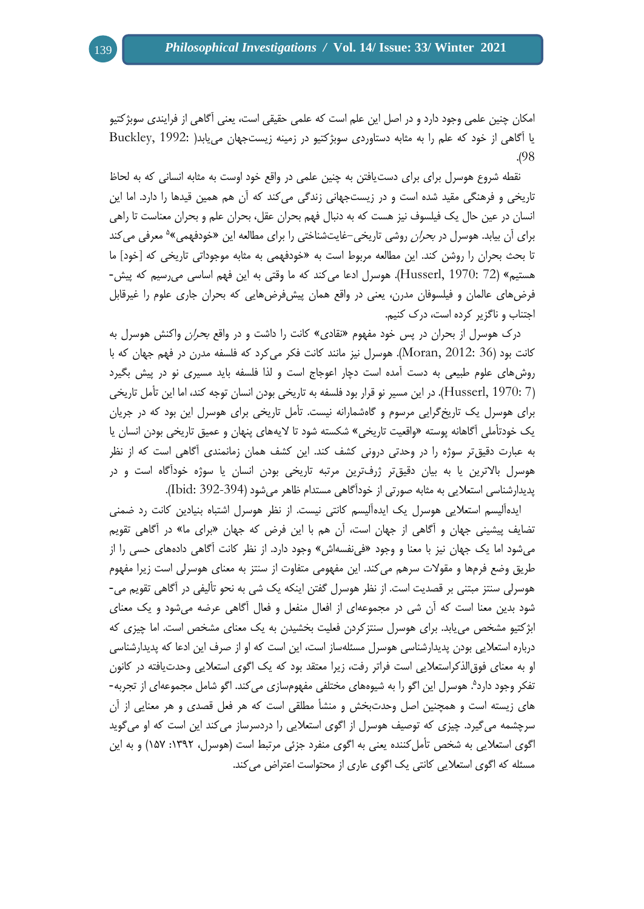امکان چنین علمی وجود دارد و در اصل این علم است که علمی حقیقی است، یعنی آگاهی از فرایندی سوبژکتیو یا آگاهی از خود که علم را به مثابه دستاوردی سوبژکتیو در زمینه زیستجهان مییابد) 1992: ,Buckley .)98

نقطه شروع هوسرل برای برای دستیافتن به چنین علمی در واقع خود اوست به مثابه انسانی که به لحاظ تاریخی و فرهنگی مقید شده است و در زیستجهانی زندگی میکند که آن هم همین قیدها را دارد. اما این انسان در عین حال یک فیلسوف نیز هست که به دنبال فهم بحران عقل، بحران علم و بحران معناست تا راهی برای اُن بیابد. هوسرل در *بحران* روشی تاریخی–غایتشناختی را برای مطالعه این «خودفهمی»<sup>ه</sup> معرفی میکند تا بحث بحران را روشن کند. این مطالعه مربوط است به »خودفهمی به مثابه موجوداتی تاریخی که ]خود[ ما هستیم« )72 1970: ,Husserl). هوسرل ادعا میکند که ما وقتی به این فهم اساسی میرسیم که پیش- فرضهای عالمان و فیلسوفان مدرن، یعنی در واقع همان پیشفرضهایی که بحران جاری علوم را غیرقابل اجتناب و ناگزیر کرده است، درک کنیم.

درک هوسرل از بحران در پس خود مفهوم «نقادی» کانت را داشت و در واقع *بحران* واکنش هوسرل به کانت بود )36 2012: ,Moran). هوسرل نیز مانند کانت فکر میکرد که فلسفه مدرن در فهم جهان که با روشهای علوم طبیعی به دست آمده است دچار اعوجاج است و لذا فلسفه باید مسیری نو در پیش بگیرد )7 1970: ,Husserl). در این مسیر نو قرار بود فلسفه به تاریخی بودن انسان توجه کند، اما این تأمل تاریخی برای هوسرل یک تاریخگرایی مرسوم و گاهشمارانه نیست. تأمل تاریخی برای هوسرل این بود که در جریان یک خودتأملی آگاهانه پوسته »واقعیت تاریخی« شکسته شود تا الیههای پنهان و عمیق تاریخی بودن انسان یا به عبارت دقیقتر سوژه را در وحدتی درونی کشف کند. این کشف همان زمانمندی آگاهی است که از نظر هوسرل باالترین یا به بیان دقیقتر ژرفترین مرتبه تاریخی بودن انسان یا سوژه خودآگاه است و در پدیدارشناسی استعالیی به مثابه صورتی از خودآگاهی مستدام ظاهر میشود )392-394 :Ibid).

ایدهآلیسم استعالیی هوسرل یک ایدهآلیسم کانتی نیست. از نظر هوسرل اشتباه بنیادین کانت رد ضمنی تضایف پیشینی جهان و آگاهی از جهان است، آن هم با این فرض که جهان »برای ما« در آگاهی تقویم میشود اما یک جهان نیز با معنا و وجود »فینفسهاش« وجود دارد. از نظر کانت آگاهی دادههای حسی را از طریق وضع فرمها و مقوالت سرهم میکند. این مفهومی متفاوت از سنتز به معنای هوسرلی است زیرا مفهوم هوسرلی سنتز مبتنی بر قصدیت است. از نظر هوسرل گفتن اینکه یک شی به نحو تألیفی در آگاهی تقویم می- شود بدین معنا است که آن شی در مجموعهای از افعال منفعل و فعال آگاهی عرضه میشود و یک معنای ابژکتیو مشخص مییابد. برای هوسرل سنتزکردن فعلیت بخشیدن به یک معنای مشخص است. اما چیزی که درباره استعالیی بودن پدیدارشناسی هوسرل مسئلهساز است، این است که او از صرف این ادعا که پدیدارشناسی او به معنای فوقالذکراستعالیی است فراتر رفت، زیرا معتقد بود که یک اگوی استعالیی وحدتیافته در کانون تفکر وجود دارد<sup>ه</sup>. هوسرل این اگو را به شیوههای مختلفی مفهومسازی می کند. اگو شامل مجموعهای از تجربه-های زیسته است و همچنین اصل وحدتبخش و منشأ مطلقی است که هر فعل قصدی و هر معنایی از آن سرچشمه میگیرد. چیزی که توصیف هوسرل از اگوی استعالیی را دردسرساز میکند این است که او میگوید اگوی استعلایی به شخص تأملکننده یعنی به اگوی منفرد جزئی مرتبط است (هوسرل، ١٣٩٢: ١۵٧) و به این مسئله که اگوی استعالیی کانتی یک اگوی عاری از محتواست اعتراض میکند.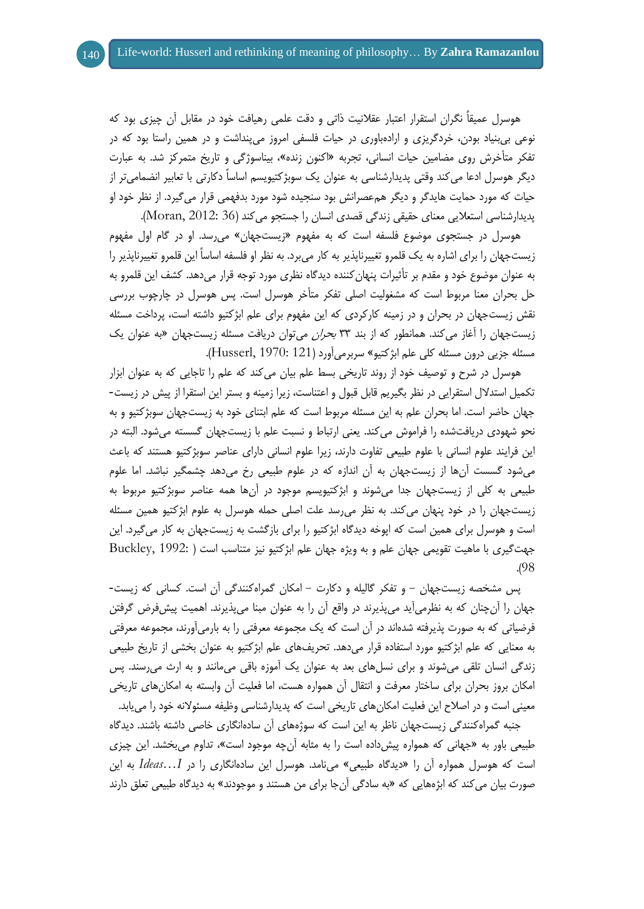هوسرل عمیقاً نگران استقرار اعتبار عقالنیت ذاتی و دقت علمی رهیافت خود در مقابل آن چیزی بود که نوعی بیبنیاد بودن، خردگریزی و ارادهباوری در حیات فلسفی امروز میپنداشت و در همین راستا بود که در تفکر متأخرش روی مضامین حیات انسانی، تجربه »اکنون زنده«، بیناسوژگی و تاریخ متمرکز شد. به عبارت دیگر هوسرل ادعا میکند وقتی پدیدارشناسی به عنوان یک سوبژکتیویسم اساساً دکارتی با تعابیر انضمامیتر از حیات که مورد حمایت هایدگر و دیگر همعصرانش بود سنجیده شود مورد بدفهمی قرار میگیرد. از نظر خود او پدیدارشناسی استعالیی معنای حقیقی زندگی قصدی انسان را جستجو میکند )36 2012: ,Moran).

هوسرل در جستجوی موضوع فلسفه است که به مفهوم »زیستجهان« میرسد. او در گام اول مفهوم زیستجهان را برای اشاره به یک قلمرو تغییرناپذیر به کار میبرد. به نظر او فلسفه اساساً این قلمرو تغییرناپذیر را به عنوان موضوع خود و مقدم بر تأثیرات پنهانکننده دیدگاه نظری مورد توجه قرار میدهد. کشف این قلمرو به حل بحران معنا مربوط است که مشغولیت اصلی تفکر متأخر هوسرل است. پس هوسرل در چارچوب بررسی نقش زیستجهان در بحران و در زمینه کارکردی که این مفهوم برای علم ابژکتیو داشته است، پرداخت مسئله زیستجهان را آغاز میکند. همانطور که از بند 99 بحران میتوان دریافت مسئله زیستجهان »به عنوان یک مسئله جزیی درون مسئله کلی علم ابژکتیو« سربرمیآورد )121 1970: ,Husserl).

هوسرل در شرح و توصیف خود از روند تاریخی بسط علم بیان میکند که علم را تاجایی که به عنوان ابزار تکمیل استدالل استقرایی در نظر بگیریم قابل قبول و اعتناست، زیرا زمینه و بستر این استقرا از پیش در زیست- جهان حاضر است. اما بحران علم به این مسئله مربوط است که علم ابتنای خود به زیستجهان سوبژکتیو و به نحو شهودی دریافتشده را فراموش میکند. یعنی ارتباط و نسبت علم با زیستجهان گسسته میشود. البته در این فرایند علوم انسانی با علوم طبیعی تفاوت دارند، زیرا علوم انسانی دارای عناصر سوبژکتیو هستند که باعث میشود گسست آنها از زیستجهان به آن اندازه که در علوم طبیعی رخ میدهد چشمگیر نباشد. اما علوم طبیعی به کلی از زیستجهان جدا میشوند و ابژکتیویسم موجود در آنها همه عناصر سوبژکتیو مربوط به زیستجهان را در خود پنهان میکند. به نظر میرسد علت اصلی حمله هوسرل به علوم ابژکتیو همین مسئله است و هوسرل برای همین است که اپوخه دیدگاه ابژکتیو را برای بازگشت به زیستجهان به کار میگیرد. این جهتگیری با ماهیت تقویمی جهان علم و به ویژه جهان علم ابژکتیو نیز متناسب است ) 1992: ,Buckley .)98

پس مشخصه زیستجهان - و تفکر گالیله و دکارت - امکان گمراهکنندگی آن است. کسانی که زیست- جهان را آنچنان که به نظرمیآید میپذیرند در واقع آن را به عنوان مبنا میپذیرند. اهمیت پیشفرض گرفتن فرضیاتی که به صورت پذیرفته شدهاند در آن است که یک مجموعه معرفتی را به بارمیآورند، مجموعه معرفتی به معنایی که علم ابژکتیو مورد استفاده قرار میدهد. تحریفهای علم ابژکتیو به عنوان بخشی از تاریخ طبیعی زندگی انسان تلقی میشوند و برای نسلهای بعد به عنوان یک آموزه باقی میمانند و به ارث میرسند. پس امکان بروز بحران برای ساختار معرفت و انتقال آن همواره هست، اما فعلیت آن وابسته به امکانهای تاریخی معینی است و در اصالح این فعلیت امکانهای تاریخی است که پدیدارشناسی وظیفه مسئوالنه خود را مییابد.

جنبه گمراهکنندگی زیستجهان ناظر به این است که سوژههای آن سادهانگاری خاصی داشته باشند. دیدگاه طبیعی باور به »جهانی که همواره پیشداده است را به مثابه آنچه موجود است«، تداوم میبخشد. این چیزی است که هوسرل همواره آن را »دیدگاه طبیعی« مینامد. هوسرل این سادهانگاری را در *I…Ideas* به این صورت بیان می کند که ابژههایی که «به سادگی آنجا برای من هستند و موجودند» به دیدگاه طبیعی تعلق دارند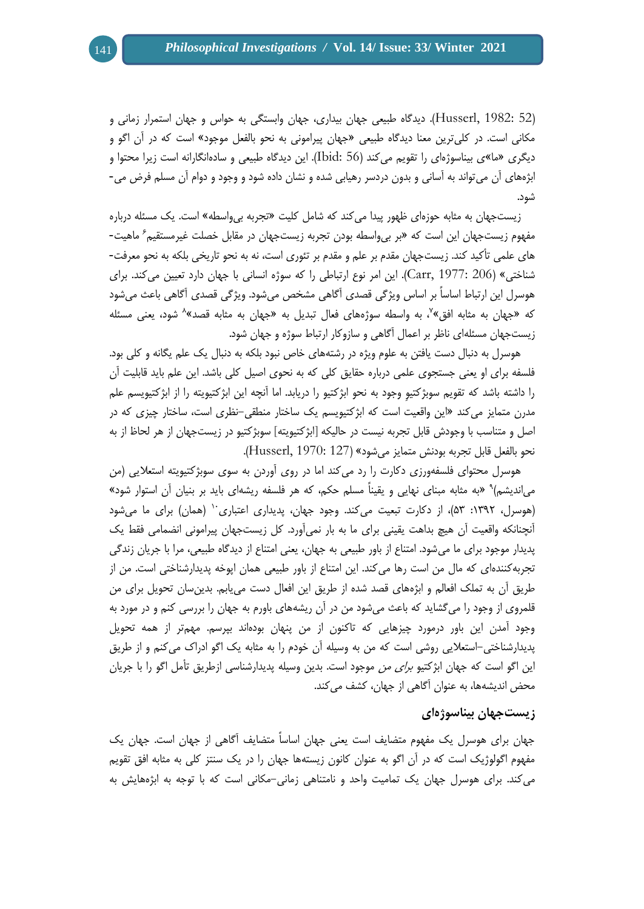)52 1982: ,Husserl). دیدگاه طبیعی جهان بیداری، جهان وابستگی به حواس و جهان استمرار زمانی و مکانی است. در کلیترین معنا دیدگاه طبیعی »جهان پیرامونی به نحو بالفعل موجود« است که در آن اگو و دیگری »ما«ی بیناسوژهای را تقویم میکند )56 :Ibid). این دیدگاه طبیعی و سادهانگارانه است زیرا محتوا و ابژههای آن میتواند به آسانی و بدون دردسر رهیابی شده و نشان داده شود و وجود و دوام آن مسلم فرض می- شود.

زیستجهان به مثابه حوزهای ظهور پیدا میکند که شامل کلیت »تجربه بیواسطه« است. یک مسئله درباره مفهوم زیستجهان این است که «بر بیeاسطه بودن تجربه زیستجهان در مقابل خصلت غیرمستقیم<sup>۶</sup> ماهیت-های علمی تأکید کند. زیستجهان مقدم بر علم و مقدم بر تئوری است، نه به نحو تاریخی بلکه به نحو معرفت- شناختی« )206 1977: ,Carr). این امر نوع ارتباطی را که سوژه انسانی با جهان دارد تعیین میکند. برای هوسرل این ارتباط اساساً بر اساس ویژگی قصدی آگاهی مشخص میشود. ویژگی قصدی آگاهی باعث میشود که «جهان به مثابه افق»<sup>۷</sup>، به واسطه سوژههای فعال تبدیل به «جهان به مثابه قصد»<sup>۸</sup> شود، یعنی مسئله زیستجهان مسئلهای ناظر بر اعمال آگاهی و سازوکار ارتباط سوژه و جهان شود.

هوسرل به دنبال دست یافتن به علوم ویژه در رشتههای خاص نبود بلکه به دنبال یک علم یگانه و کلی بود. فلسفه برای او یعنی جستجوی علمی درباره حقایق کلی که به نحوی اصیل کلی باشد. این علم باید قابلیت آن را داشته باشد که تقویم سوبژکتیوِ وجود به نحو ابژکتیو را دریابد. اما آنچه این ابژکتیویته را از ابژکتیویسم علم مدرن متمایز میکند »این واقعیت است که ابژکتیویسم یک ساختار منطقی-نظری است، ساختار چیزی که در اصل و متناسب با وجودش قابل تجربه نیست در حالیکه ]ابژکتیویته[ سوبژکتیو در زیستجهان از هر لحاظ از به نحو بالفعل قابل تجربه بودنش متمایز میشود« )127 1970: ,Husserl).

هوسرل محتوای فلسفهورزی دکارت را رد میکند اما در روی آوردن به سوی سوبژکتیویته استعالیی )من میاندیشم)<sup>۹</sup> «به مثابه مبنای نهایی و یقیناً مسلم حکم، که هر فلسفه ریشهای باید بر بنیان آن استوار شود» (هوسرل، ١٣٩٢: ۵٣)، از دکارت تبعیت میکند. وجود جهان، پدیداری اعتباری<sup>. (</sup> (همان) برای ما میشود آنچنانکه واقعیت آن هیچ بداهت یقینی برای ما به بار نمیآورد. کل زیستجهان پیرامونی انضمامی فقط یک پدیدار موجود برای ما میشود. امتناع از باور طبیعی به جهان، یعنی امتناع از دیدگاه طبیعی، مرا با جریان زندگی تجربهکنندهای که مال من است رها میکند. این امتناع از باور طبیعی همان اپوخه پدیدارشناختی است. من از طریق آن به تملک افعالم و ابژههای قصد شده از طریق این افعال دست مییابم. بدینسان تحویل برای من قلمروی از وجود را میگشاید که باعث میشود من در آن ریشههای باورم به جهان را بررسی کنم و در مورد به وجود آمدن این باور درمورد چیزهایی که تاکنون از من پنهان بودهاند بپرسم. مهمتر از همه تحویل پدیدارشناختی-استعالیی روشی است که من به وسیله آن خودم را به مثابه یک اگو ادراک میکنم و از طریق این اگو است که جهان ابژکتیو *برای من* موجود است. بدین وسیله پدیدارشناسی ازطریق تأمل اگو را با جریان محض اندیشهها، به عنوان آگاهی از جهان، کشف میکند.

# **زیستجهان بیناسوژهای**

جهان برای هوسرل یک مفهوم متضایف است یعنی جهان اساساً متضایف آگاهی از جهان است. جهان یک مفهوم اگولوژیک است که در آن اگو به عنوان کانون زیستهها جهان را در یک سنتز کلی به مثابه افق تقویم میکند. برای هوسرل جهان یک تمامیت واحد و نامتناهی زمانی-مکانی است که با توجه به ابژههایش به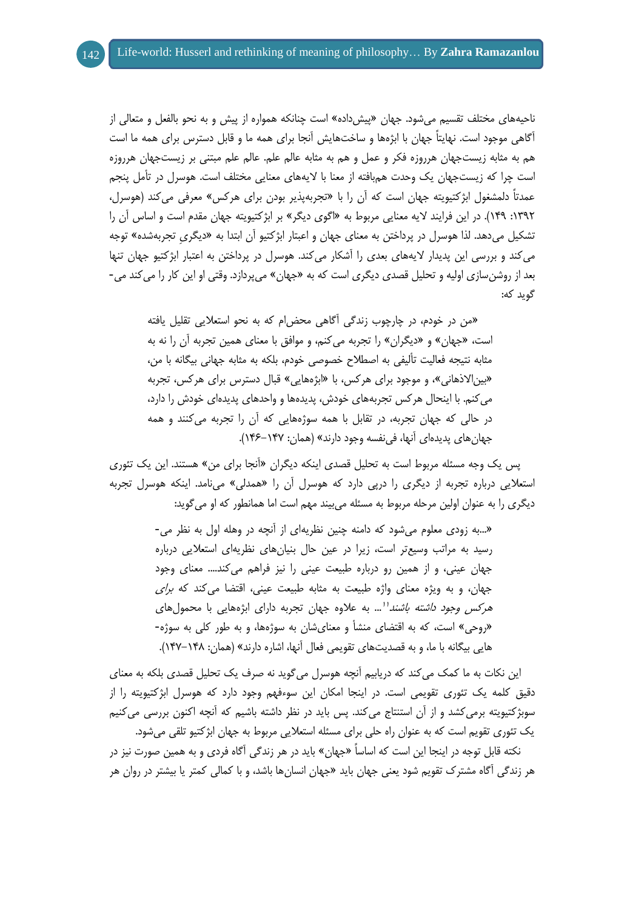ناحیههای مختلف تقسیم میشود. جهان »پیشداده« است چنانکه همواره از پیش و به نحو بالفعل و متعالی از آگاهی موجود است. نهایتاً جهان با ابژهها و ساختهایش آنجا برای همه ما و قابل دسترس برای همه ما است هم به مثابه زیستجهان هرروزه فکر و عمل و هم به مثابه عالم علم. عالم علم مبتنی بر زیستجهان هرروزه است چرا که زیستجهان یک وحدت همبافته از معنا با الیههای معنایی مختلف است. هوسرل در تأمل پنجم عمدتاً دلمشغول ابژکتیویته جهان است که آن را با «تجربهپذیر بودن برای هرکس» معرفی می کند (هوسرل، :8939 843(. در این فرایند الیه معنایی مربوط به »اگوی دیگر« بر ابژکتیویته جهان مقدم است و اساس آن را تشکیل میدهد. لذا هوسرل در پرداختن به معنای جهان و اعبتار ابژکتیو آن ابتدا به »دیگریِ تجربهشده« توجه میکند و بررسی این پدیدار الیههای بعدی را آشکار میکند. هوسرل در پرداختن به اعتبار ابژکتیو جهان تنها بعد از روشن سازی اولیه و تحلیل قصدی دیگری است که به «جهان» میپردازد. وقتی او این کار را میکند می-گوید که:

»من در خودم، در چارچوب زندگی آگاهی محضام که به نحو استعالیی تقلیل یافته است، «جهان» و «دیگران» را تجربه می کنم، و موافق با معنای همین تجربه آن را نه به مثابه نتیجه فعالیت تألیفی به اصطالح خصوصی خودم، بلکه به مثابه جهانی بیگانه با من، »بیناالذهانی«، و موجود برای هرکس، با »ابژههایی« قبال دسترس برای هرکس، تجربه میکنم. با اینحال هرکس تجربههای خودش، پدیدهها و واحدهای پدیدهای خودش را دارد، در حالی که جهان تجربه، در تقابل با همه سوژههایی که آن را تجربه میکنند و همه جهانهای پدیدهای آنها، فی نفسه وجود دارند» (همان: ۱۴۷–۱۴۶).

پس یک وجه مسئله مربوط است به تحلیل قصدی اینکه دیگران »آنجا برای من« هستند. این یک تئوری استعلایی درباره تجربه از دیگری را درپی دارد که هوسرل آن را «همدلی» مینامد. اینکه هوسرل تجربه دیگری را به عنوان اولین مرحله مربوط به مسئله میبیند مهم است اما همانطور که او میگوید:

> »...به زودی معلوم میشود که دامنه چنین نظریهای از آنچه در وهله اول به نظر می- رسید به مراتب وسیعتر است، زیرا در عین حال بنیانهای نظریهای استعالیی درباره جهان عینی، و از همین رو درباره طبیعت عینی را نیز فراهم میکند.... معنای وجود جهان، و به ویژه معنای واژه طبیعت به مثابه طبیعت عینی، اقتضا می *ک*ند که *برای* هر*کس وجود داشته باشند'*'… به علاوه جهان تجربه دارای ابژههایی با محمولهای «روحی» است، که به اقتضای منشأ و معنای شان به سوژهها، و به طور کلی به سوژه-هایی بیگانه با ما، و به قصدیتهای تقویمی فعال آنها، اشاره دارند« )همان: 847-841(.

این نکات به ما کمک میکند که دریابیم آنچه هوسرل میگوید نه صرف یک تحلیل قصدی بلکه به معنای دقیق کلمه یک تئوری تقویمی است. در اینجا امکان این سوءفهم وجود دارد که هوسرل ابژکتیویته را از سوبژکتیویته برمیکشد و از آن استنتاج میکند. پس باید در نظر داشته باشیم که آنچه اکنون بررسی میکنیم یک تئوری تقویم است که به عنوان راه حلی برای مسئله استعالیی مربوط به جهان ابژکتیو تلقی میشود.

نکته قابل توجه در اینجا این است که اساساً »جهان« باید در هر زندگی آگاه فردی و به همین صورت نیز در هر زندگی آگاه مشترک تقویم شود یعنی جهان باید »جهان انسانها باشد، و با کمالی کمتر یا بیشتر در روان هر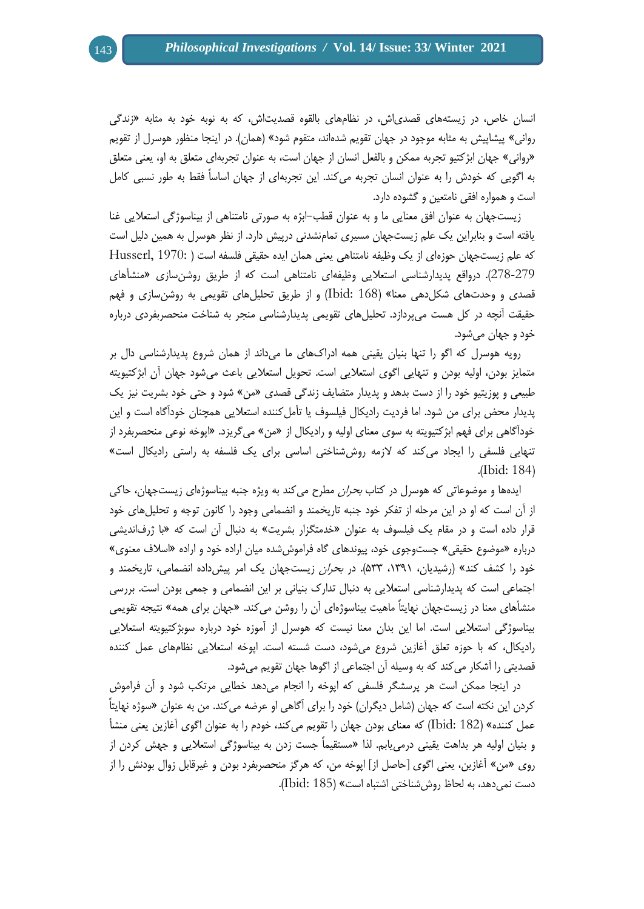انسان خاص، در زیستههای قصدیاش، در نظامهای بالقوه قصدیتاش، که به نوبه خود به مثابه »زندگی روانی» پیشاپیش به مثابه موجود در جهان تقویم شدهاند، متقوم شود» (همان). در اینجا منظور هوسرل از تقویم »روانی« جهان ابژکتیو تجربه ممکن و بالفعل انسان از جهان است، به عنوان تجربهای متعلق به او، یعنی متعلق به اگویی که خودش را به عنوان انسان تجربه میکند. این تجربهای از جهان اساساً فقط به طور نسبی کامل است و همواره افقی نامتعین و گشوده دارد.

زیستجهان به عنوان افق معنایی ما و به عنوان قطب-ابژه به صورتی نامتناهی از بیناسوژگی استعالیی غنا یافته است و بنابراین یک علم زیستجهان مسیری تمامنشدنی درپیش دارد. از نظر هوسرل به همین دلیل است که علم زیستجهان حوزهای از یک وظیفه نامتناهی یعنی همان ایده حقیقی فلسفه است ) 1970: ,Husserl 278-279(. درواقع پدیدارشناسی استعالیی وظیفهای نامتناهی است که از طریق روشنسازی »منشأهای قصدی و وحدتهای شکلدهی معنا« )168 :Ibid )و از طریق تحلیلهای تقویمی به روشنسازی و فهم حقیقت آنچه در کل هست میپردازد. تحلیلهای تقویمی پدیدارشناسی منجر به شناخت منحصربفردی درباره خود و جهان میشود.

رویه هوسرل که اگو را تنها بنیان یقینی همه ادراکهای ما میداند از همان شروع پدیدارشناسی دال بر متمایز بودن، اولیه بودن و تنهایی اگوی استعالیی است. تحویل استعالیی باعث میشود جهان آن ابژکتیویته طبیعی و پوزیتیو خود را از دست بدهد و پدیدار متضایف زندگی قصدی »من« شود و حتی خود بشریت نیز یک پدیدار محض برای من شود. اما فردیت رادیکال فیلسوف یا تأمل کننده استعلایی همچنان خودآگاه است و این خودآگاهی برای فهم ابژکتیویته به سوی معنای اولیه و رادیکال از »من« میگریزد. »اپوخه نوعی منحصربفرد از تنهایی فلسفی را ایجاد میکند که الزمه روششناختی اساسی برای یک فلسفه به راستی رادیکال است« .(Ibid: 184)

ایدهها و موضوعاتی که هوسرل در کتاب بحران مطرح میکند به ویژه جنبه بیناسوژهای زیستجهان، حاکی از آن است که او در این مرحله از تفکر خود جنبه تاریخمند و انضمامی وجود را کانون توجه و تحلیلهای خود قرار داده است و در مقام یک فیلسوف به عنوان «خدمتگزار بشریت» به دنبال آن است که «با ژرفاندیشی درباره »موضوع حقیقی« جستوجوی خود، پیوندهای گاه فراموششده میان اراده خود و اراده »اسالف معنوی« خود را کشف کند» (رشیدیان، ۱۳۹۱، ۵۳۳). در *بحران* زیستجهان یک امر پیش2اده انضمامی، تاریخمند و اجتماعی است که پدیدارشناسی استعالیی به دنبال تدارک بنیانی بر این انضمامی و جمعی بودن است. بررسی منشأهای معنا در زیستجهان نهایتاً ماهیت بیناسوژهای آن را روشن میکند. «جهان برای همه» نتیجه تقویمی بیناسوژگی استعالیی است. اما این بدان معنا نیست که هوسرل از آموزه خود درباره سوبژکتیویته استعالیی رادیکال، که با حوزه تعلق آغازین شروع میشود، دست شسته است. اپوخه استعالیی نظامهای عمل کننده قصدیتی را آشکار میکند که به وسیله آن اجتماعی از اگوها جهان تقویم میشود.

در اینجا ممکن است هر پرسشگر فلسفی که اپوخه را انجام میدهد خطایی مرتکب شود و آن فراموش کردن این نکته است که جهان (شامل دیگران) خود را برای آگاهی او عرضه می کند. من به عنوان «سوژه نهایتاً عمل کننده« )182 :Ibid )که معنای بودن جهان را تقویم میکند، خودم را به عنوان اگوی آغازین یعنی منشأ و بنیان اولیه هر بداهت یقینی درمییابم. لذا »مستقیماً جست زدن به بیناسوژگی استعالیی و جهش کردن از روی »من« آغازین، یعنی اگوی ]حاصل از[ اپوخه من، که هرگز منحصربفرد بودن و غیرقابل زوال بودنش را از دست نمیدهد، به لحاظ روششناختی اشتباه است« )185 :Ibid).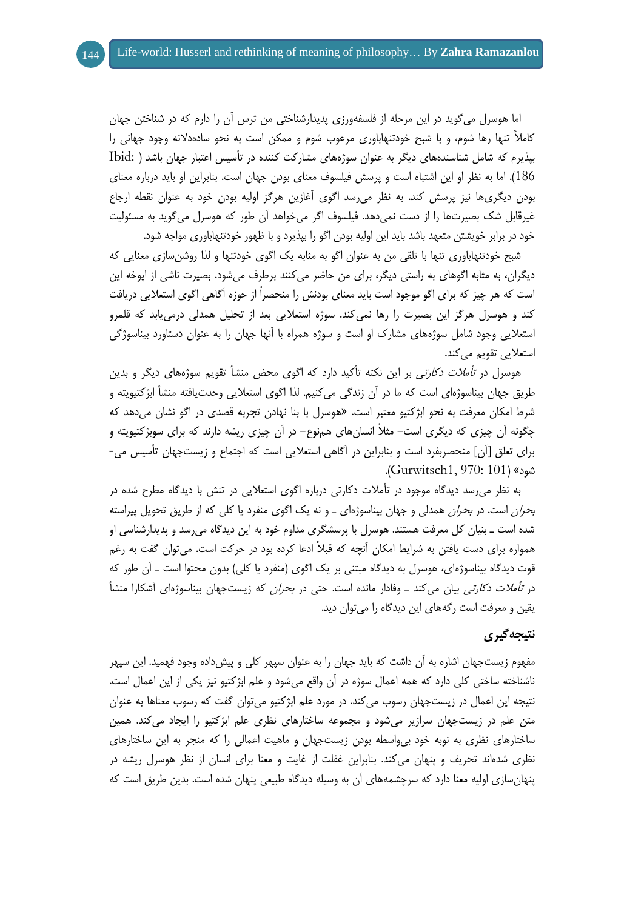اما هوسرل میگوید در این مرحله از فلسفهورزی پدیدارشناختی من ترس آن را دارم که در شناختن جهان کامالً تنها رها شوم، و با شبح خودتنهاباوری مرعوب شوم و ممکن است به نحو سادهدالنه وجود جهانی را بپذیرم که شامل شناسندههای دیگر به عنوان سوژههای مشارکت کننده در تأسیس اعتبار جهان باشد ) :Ibid 186(. اما به نظر او این اشتباه است و پرسش فیلسوف معنای بودن جهان است. بنابراین او باید درباره معنای بودن دیگریها نیز پرسش کند. به نظر میرسد اگوی آغازین هرگز اولیه بودن خود به عنوان نقطه ارجاع غیرقابل شک بصیرتها را از دست نمیدهد. فیلسوف اگر میخواهد آن طور که هوسرل میگوید به مسئولیت خود در برابر خویشتن متعهد باشد باید این اولیه بودن اگو را بپذیرد و با ظهور خودتنهاباوری مواجه شود.

شبح خودتنهاباوری تنها با تلقی من به عنوان اگو به مثابه یک اگوی خودتنها و لذا روشنسازی معنایی که دیگران، به مثابه اگوهای به راستی دیگر، برای من حاضر میکنند برطرف میشود. بصیرت ناشی از اپوخه این است که هر چیز که برای اگو موجود است باید معنای بودنش را منحصراً از حوزه آگاهی اگوی استعالیی دریافت کند و هوسرل هرگز این بصیرت را رها نمیکند. سوژه استعالیی بعد از تحلیل همدلی درمییابد که قلمرو استعالیی وجود شامل سوژههای مشارک او است و سوژه همراه با آنها جهان را به عنوان دستاورد بیناسوژگی استعلایی تقویم می کند.

هوسرل در ت*أملات دکارتی* بر این نکته تأکید دارد که اگوی محض منشأ تقویم سوژههای دیگر و بدین طریق جهان بیناسوژهای است که ما در آن زندگی میکنیم. لذا اگوی استعالیی وحدتیافته منشأ ابژکتیویته و شرط امکان معرفت به نحو ابژکتیو معتبر است. »هوسرل با بنا نهادن تجربه قصدی در اگو نشان میدهد که چگونه آن چیزی که دیگری است- مثالً انسانهای همنوع- در آن چیزی ریشه دارند که برای سوبژکتیویته و برای تعلق [آن] منحصربفرد است و بنابراین در آگاهی استعلایی است که اجتماع و زیستجهان تأسیس می-شود« )101 970: 1,Gurwitsch).

به نظر میرسد دیدگاه موجود در تأمالت دکارتی درباره اگوی استعالیی در تنش با دیدگاه مطرح شده در *بحران* است. در *بحران* همدلی و جهان بیناسوژهای ـ و نه یک اگوی منفرد یا کلی که از طریق تحویل پیراسته شده است ـ بنیان کل معرفت هستند. هوسرل با پرسشگری مداوم خود به این دیدگاه میرسد و پدیدارشناسی او همواره برای دست یافتن به شرایط امکان آنچه که قبالً ادعا کرده بود در حرکت است. میتوان گفت به رغم قوت دیدگاه بیناسوژهای، هوسرل به دیدگاه مبتنی بر یک اگوی (منفرد یا کلی) بدون محتوا است ــ آن طور که در *تأملات دکارتی* بیان میکند ــ وفادار مانده است. حتی در *بحران* که زیستجهان بیناسوژهای آشکارا منشأ یقین و معرفت است رگههای این دیدگاه را میتوان دید.

# **نتیجهگیری**

مفهوم زیستجهان اشاره به آن داشت که باید جهان را به عنوان سپهر کلی و پیشداده وجود فهمید. این سپهر ناشناخته ساختی کلی دارد که همه اعمال سوژه در آن واقع میشود و علم ابژکتیو نیز یکی از این اعمال است. نتیجه این اعمال در زیستجهان رسوب میکند. در مورد علم ابژکتیو میتوان گفت که رسوب معناها به عنوان متن علم در زیستجهان سرازیر میشود و مجموعه ساختارهای نظری علم ابژکتیو را ایجاد میکند. همین ساختارهای نظری به نوبه خود بیواسطه بودن زیستجهان و ماهیت اعمالی را که منجر به این ساختارهای نظری شدهاند تحریف و پنهان میکند. بنابراین غفلت از غایت و معنا برای انسان از نظر هوسرل ریشه در پنهانسازی اولیه معنا دارد که سرچشمههای آن به وسیله دیدگاه طبیعی پنهان شده است. بدین طریق است که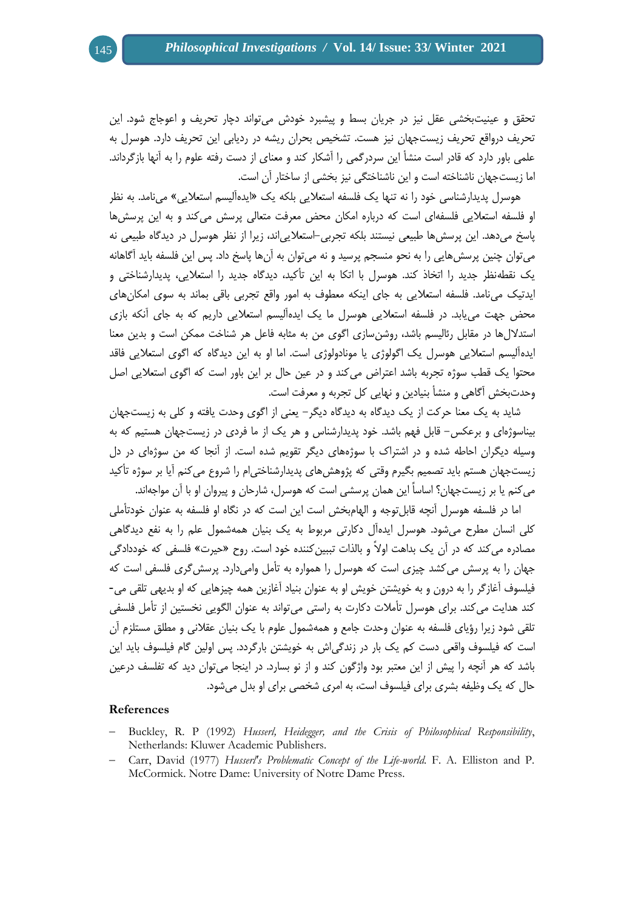تحقق و عینیتبخشی عقل نیز در جریان بسط و پیشبرد خودش میتواند دچار تحریف و اعوجاج شود. این تحریف درواقع تحریف زیستجهان نیز هست. تشخیص بحران ریشه در ردیابی این تحریف دارد. هوسرل به علمی باور دارد که قادر است منشأ این سردرگمی را آشکار کند و معنای از دست رفته علوم را به آنها بازگرداند. اما زیستجهان ناشناخته است و این ناشناختگی نیز بخشی از ساختار آن است.

هوسرل پدیدارشناسی خود را نه تنها یک فلسفه استعالیی بلکه یک »ایدهآلیسم استعالیی« مینامد. به نظر او فلسفه استعالیی فلسفهای است که درباره امکان محض معرفت متعالی پرسش میکند و به این پرسشها پاسخ میدهد. این پرسشها طبیعی نیستند بلکه تجربی-استعالییاند، زیرا از نظر هوسرل در دیدگاه طبیعی نه میتوان چنین پرسشهایی را به نحو منسجم پرسید و نه میتوان به آنها پاسخ داد. پس این فلسفه باید آگاهانه یک نقطهنظر جدید را اتخاذ کند. هوسرل با اتکا به این تأکید، دیدگاه جدید را استعالیی، پدیدارشناختی و ایدتیک مینامد. فلسفه استعالیی به جای اینکه معطوف به امور واقع تجربی باقی بماند به سوی امکانهای محض جهت مییابد. در فلسفه استعالیی هوسرل ما یک ایدهآلیسم استعالیی داریم که به جای آنکه بازی استداللها در مقابل رئالیسم باشد، روشنسازی اگوی من به مثابه فاعل هر شناخت ممکن است و بدین معنا ایدهآلیسم استعالیی هوسرل یک اگولوژی یا مونادولوژی است. اما او به این دیدگاه که اگوی استعالیی فاقد محتوا یک قطب سوژه تجربه باشد اعتراض میکند و در عین حال بر این باور است که اگوی استعالیی اصل وحدتبخش آگاهی و منشأ بنیادین و نهایی کل تجربه و معرفت است.

شاید به یک معنا حرکت از یک دیدگاه به دیدگاه دیگر- یعنی از اگوی وحدت یافته و کلی به زیستجهان بیناسوژهای و برعکس- قابل فهم باشد. خود پدیدارشناس و هر یک از ما فردی در زیستجهان هستیم که به وسیله دیگران احاطه شده و در اشتراک با سوژههای دیگر تقویم شده است. از آنجا که من سوژهای در دل زیستجهان هستم باید تصمیم بگیرم وقتی که پژوهشهای پدیدارشناختیام را شروع میکنم آیا بر سوژه تأکید میکنم یا بر زیستجهان؟ اساساً این همان پرسشی است که هوسرل، شارحان و پیروان او با آن مواجهاند.

اما در فلسفه هوسرل آنچه قابلتوجه و الهامبخش است این است که در نگاه او فلسفه به عنوان خودتأملی کلی انسان مطرح میشود. هوسرل ایدهآل دکارتی مربوط به یک بنیان همهشمول علم را به نفع دیدگاهی مصادره می کند که در آن یک بداهت اولاً و بالذات تببین کننده خود است. روح «حیرت» فلسفی که خوددادگی جهان را به پرسش میکشد چیزی است که هوسرل را همواره به تأمل وامیدارد. پرسشگری فلسفی است که فیلسوف آغازگر را به درون و به خویشتن خویش او به عنوان بنیاد آغازین همه چیزهایی که او بدیهی تلقی می- کند هدایت میکند. برای هوسرل تأمالت دکارت به راستی میتواند به عنوان الگویی نخستین از تأمل فلسفی تلقی شود زیرا رؤیای فلسفه به عنوان وحدت جامع و همهشمول علوم با یک بنیان عقالنی و مطلق مستلزم آن است که فیلسوف واقعی دست کم یک بار در زندگیاش به خویشتن بارگردد. پس اولین گام فیلسوف باید این باشد که هر آنچه را پیش از این معتبر بود واژگون کند و از نو بسارد. در اینجا میتوان دید که تفلسف درعین حال که یک وظیفه بشری برای فیلسوف است، به امری شخصی برای او بدل میشود.

### **References**

- Buckley, R. P (1992) *Husserl, Heidegger, and the Crisis of Philosophical Responsibility*, Netherlands: Kluwer Academic Publishers.
- Carr, David (1977) *Husserl's Problematic Concept of the Life-world*. F. A. Elliston and P. McCormick. Notre Dame: University of Notre Dame Press.